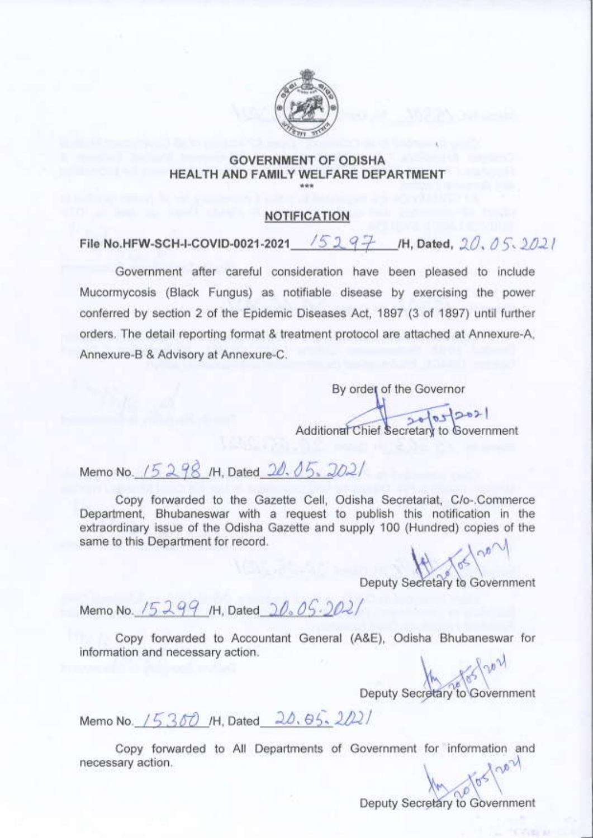

### **GOVERNMENT OF ODISHA** HEALTH AND FAMILY WELFARE DEPARTMENT

### **NOTIFICATION**

File No.HFW-SCH-I-COVID-0021-2021 /5297 /H, Dated, 20, 05.2021

Government after careful consideration have been pleased to include Mucormycosis (Black Fungus) as notifiable disease by exercising the power conferred by section 2 of the Epidemic Diseases Act, 1897 (3 of 1897) until further orders. The detail reporting format & treatment protocol are attached at Annexure-A. Annexure-B & Advisory at Annexure-C.

> By order of the Governor Additional Chief Secretary to Government

Memo No. 15298 /H, Dated 20.05.2021

Copy forwarded to the Gazette Cell, Odisha Secretariat, C/o-.Commerce Department, Bhubaneswar with a request to publish this notification in the extraordinary issue of the Odisha Gazette and supply 100 (Hundred) copies of the same to this Department for record.

Deputy Secretary to Government

Memo No. 15299 /H, Dated 20.05.2021

Copy forwarded to Accountant General (A&E), Odisha Bhubaneswar for information and necessary action.

Deputy Secretary to Government

Memo No. 15300 /H, Dated 20.65.2021

Copy forwarded to All Departments of Government for information and necessary action.

Deputy Secretary to Government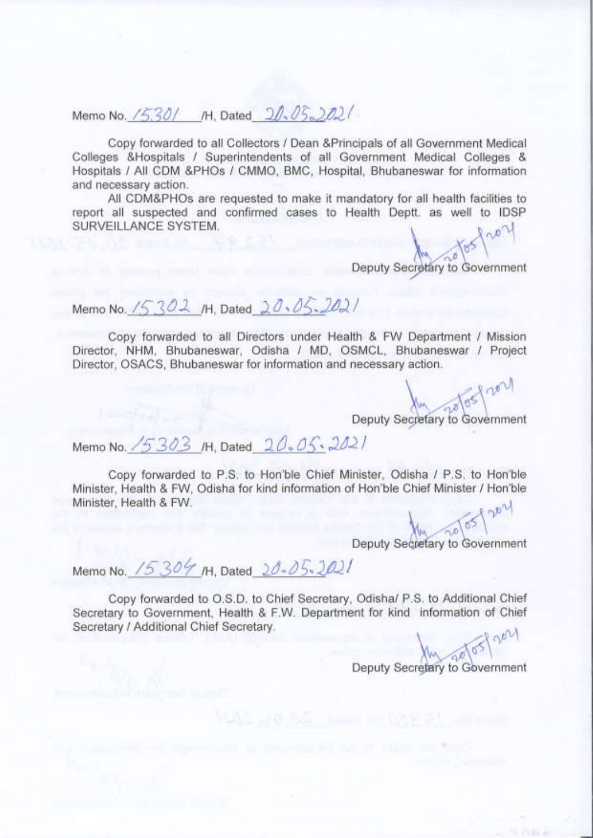Memo No. /530/ /H, Dated 20.05.002/

Copy forwarded to all Collectors / Dean & Principals of all Government Medical Colleges &Hospitals / Superintendents of all Government Medical Colleges & Hospitals / All CDM &PHOs / CMMO, BMC, Hospital, Bhubaneswar for information and necessary action.

All CDM&PHOs are requested to make it mandatory for all health facilities to report all suspected and confirmed cases to Health Deptt, as well to IDSP SURVEILLANCE SYSTEM.

Deputy Secretary to Government

Memo No. 15302 /H. Dated 20.05.2021

Copy forwarded to all Directors under Health & FW Department / Mission Director, NHM, Bhubaneswar, Odisha / MD, OSMCL, Bhubaneswar / Project Director, OSACS, Bhubaneswar for information and necessary action.

loorl 105 Deputy Secretary to Government

Memo No. /5303 /H. Dated 20.05.2021

Copy forwarded to P.S. to Hon'ble Chief Minister, Odisha / P.S. to Hon'ble Minister, Health & FW, Odisha for kind information of Hon'ble Chief Minister / Hon'ble Minister, Health & FW. pote 8

Deputy Secretary to Government

Memo No. 15304 /H, Dated 20-05-2021

Copy forwarded to O.S.D. to Chief Secretary, Odisha/ P.S. to Additional Chief Secretary to Government, Health & F.W. Department for kind information of Chief Secretary / Additional Chief Secretary.

OOU Deputy Secretary to Government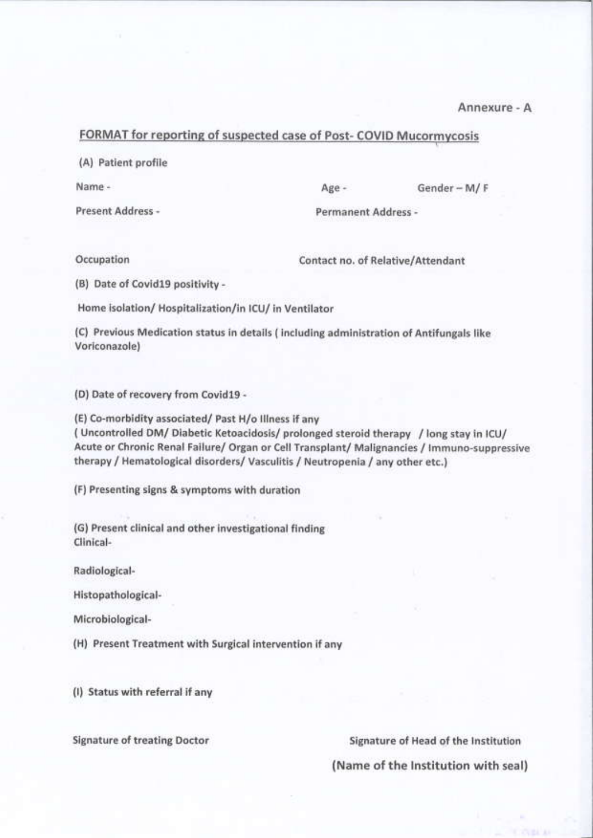Annexure - A

#### FORMAT for reporting of suspected case of Post- COVID Mucormycosis

(A) Patient profile

Name -

Present Address -

Age -

Gender-M/F

Permanent Address -

Occupation

Contact no. of Relative/Attendant

(B) Date of Covid19 positivity -

Home isolation/ Hospitalization/in ICU/ in Ventilator

(C) Previous Medication status in details (including administration of Antifungals like Voriconazole)

(D) Date of recovery from Covid19 -

(E) Co-morbidity associated/ Past H/o Illness if any (Uncontrolled DM/Diabetic Ketoacidosis/prolonged steroid therapy / long stay in ICU/ Acute or Chronic Renal Failure/ Organ or Cell Transplant/ Malignancies / Immuno-suppressive therapy / Hematological disorders/ Vasculitis / Neutropenia / any other etc.)

(F) Presenting signs & symptoms with duration

(G) Present clinical and other investigational finding Clinical-

Radiological-

Histopathological-

Microbiological-

(H) Present Treatment with Surgical intervention if any

(I) Status with referral if any

**Signature of treating Doctor** 

Signature of Head of the Institution

(Name of the Institution with seal)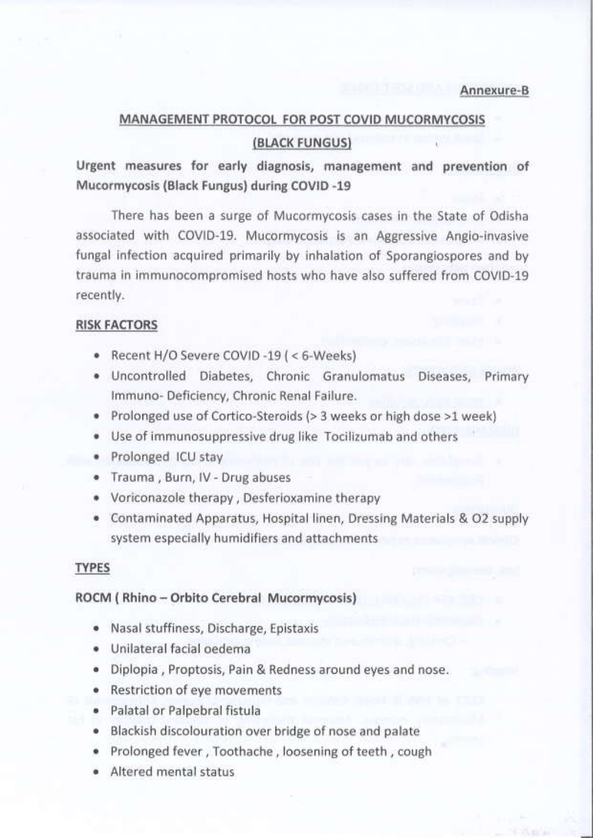### MANAGEMENT PROTOCOL FOR POST COVID MUCORMYCOSIS (BLACK FUNGUS)

Urgent measures for early diagnosis, management and prevention of Mucormycosis (Black Fungus) during COVID -19

There has been a surge of Mucormycosis cases in the State of Odisha associated with COVID-19. Mucormycosis is an Aggressive Angio-invasive fungal infection acquired primarily by inhalation of Sporangiospores and by trauma in immunocompromised hosts who have also suffered from COVID-19 recently.

#### **RISK FACTORS**

- Recent H/O Severe COVID -19 (< 6-Weeks)
- · Uncontrolled Diabetes, Chronic Granulomatus Diseases, Primary Immuno- Deficiency, Chronic Renal Failure.
- Prolonged use of Cortico-Steroids (> 3 weeks or high dose >1 week)
- Use of immunosuppressive drug like Tocilizumab and others
- · Prolonged ICU stay
- · Trauma, Burn, IV Drug abuses
- Voriconazole therapy, Desferioxamine therapy
- Contaminated Apparatus, Hospital linen, Dressing Materials & O2 supply system especially humidifiers and attachments

#### **TYPES**

#### ROCM (Rhino - Orbito Cerebral Mucormycosis)

- · Nasal stuffiness, Discharge, Epistaxis
- · Unilateral facial oedema
- Diplopia, Proptosis, Pain & Redness around eyes and nose.
- Restriction of eye movements
- · Palatal or Palpebral fistula
- Blackish discolouration over bridge of nose and palate
- · Prolonged fever, Toothache, loosening of teeth, cough
- · Altered mental status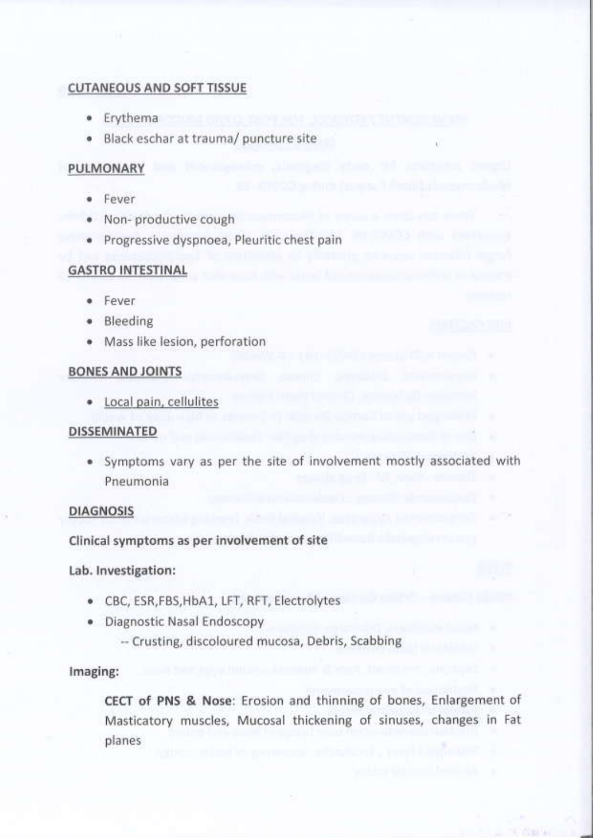#### **CUTANEOUS AND SOFT TISSUE**

- · Erythema
- · Black eschar at trauma/ puncture site

### PULMONARY

- · Fever
- · Non-productive cough
- · Progressive dyspnoea, Pleuritic chest pain

### **GASTRO INTESTINAL**

- · Fever
- · Bleeding
- Mass like lesion, perforation

### **BONES AND JOINTS**

· Local pain, cellulites

#### **DISSEMINATED**

· Symptoms vary as per the site of involvement mostly associated with Pneumonia

#### **DIAGNOSIS**

Clinical symptoms as per involvement of site

Lab. Investigation:

- CBC, ESR, FBS, HbA1, LFT, RFT, Electrolytes
- · Diagnostic Nasal Endoscopy
	- -- Crusting, discoloured mucosa, Debris, Scabbing

#### Imaging:

CECT of PNS & Nose: Erosion and thinning of bones, Enlargement of Masticatory muscles, Mucosal thickening of sinuses, changes in Fat planes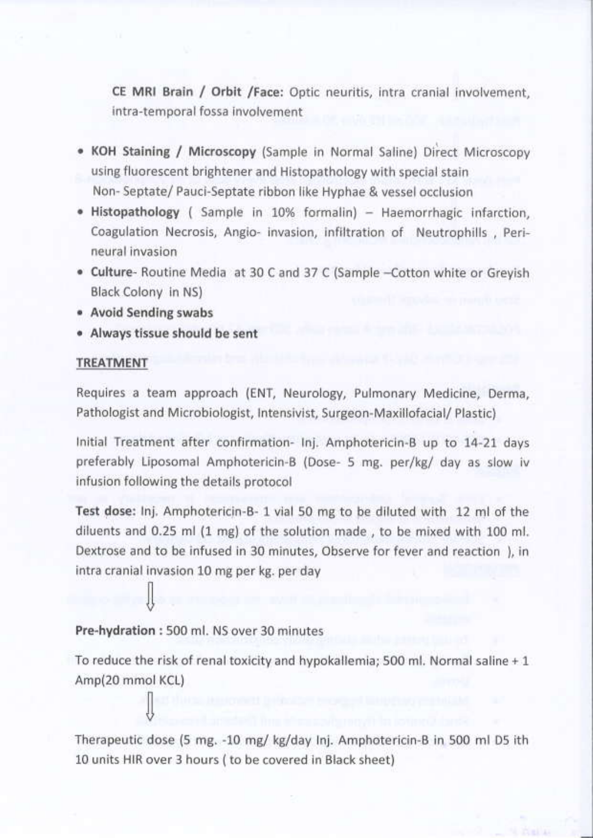CE MRI Brain / Orbit /Face: Optic neuritis, intra cranial involvement, intra-temporal fossa involvement

- KOH Staining / Microscopy (Sample in Normal Saline) Direct Microscopy using fluorescent brightener and Histopathology with special stain Non-Septate/Pauci-Septate ribbon like Hyphae & vessel occlusion
- . Histopathology (Sample in 10% formalin) Haemorrhagic infarction. Coagulation Necrosis, Angio- invasion, infiltration of Neutrophills, Perineural invasion
- Culture- Routine Media at 30 C and 37 C (Sample -Cotton white or Greyish Black Colony in NS)
- Avoid Sending swabs
- · Always tissue should be sent

### TREATMENT

Requires a team approach (ENT, Neurology, Pulmonary Medicine, Derma, Pathologist and Microbiologist, Intensivist, Surgeon-Maxillofacial/ Plastic)

Initial Treatment after confirmation- Inj. Amphotericin-B up to 14-21 days preferably Liposomal Amphotericin-B (Dose- 5 mg. per/kg/ day as slow iv infusion following the details protocol

Test dose: Inj. Amphotericin-B- 1 vial 50 mg to be diluted with 12 ml of the diluents and 0.25 ml (1 mg) of the solution made, to be mixed with 100 ml. Dextrose and to be infused in 30 minutes, Observe for fever and reaction ), in intra cranial invasion 10 mg per kg. per day

### Pre-hydration: 500 ml. NS over 30 minutes

To reduce the risk of renal toxicity and hypokallemia; 500 ml. Normal saline + 1 Amp(20 mmol KCL)

Therapeutic dose (5 mg. -10 mg/ kg/day Inj. Amphotericin-B in 500 ml D5 ith 10 units HIR over 3 hours ( to be covered in Black sheet)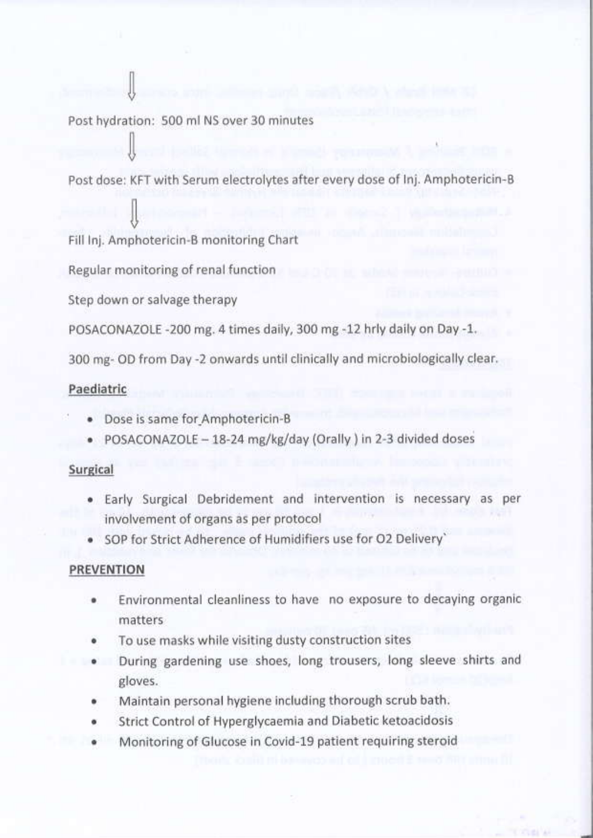Post hydration: 500 ml NS over 30 minutes

Post dose: KFT with Serum electrolytes after every dose of Inj. Amphotericin-B

Fill Inj. Amphotericin-B monitoring Chart

Regular monitoring of renal function

Step down or salvage therapy

POSACONAZOLE -200 mg. 4 times daily, 300 mg -12 hrly daily on Day -1.

300 mg- OD from Day -2 onwards until clinically and microbiologically clear.

### Paediatric

- · Dose is same for Amphotericin-B
- · POSACONAZOLE 18-24 mg/kg/day (Orally ) in 2-3 divided doses

#### Surgical

- . Early Surgical Debridement and intervention is necessary as per involvement of organs as per protocol
- SOP for Strict Adherence of Humidifiers use for O2 Delivery`

#### **PREVENTION**

- Environmental cleanliness to have no exposure to decaying organic matters
- To use masks while visiting dusty construction sites
- During gardening use shoes, long trousers, long sleeve shirts and gloves.
- Maintain personal hygiene including thorough scrub bath.
- Strict Control of Hyperglycaemia and Diabetic ketoacidosis
- Monitoring of Glucose in Covid-19 patient requiring steroid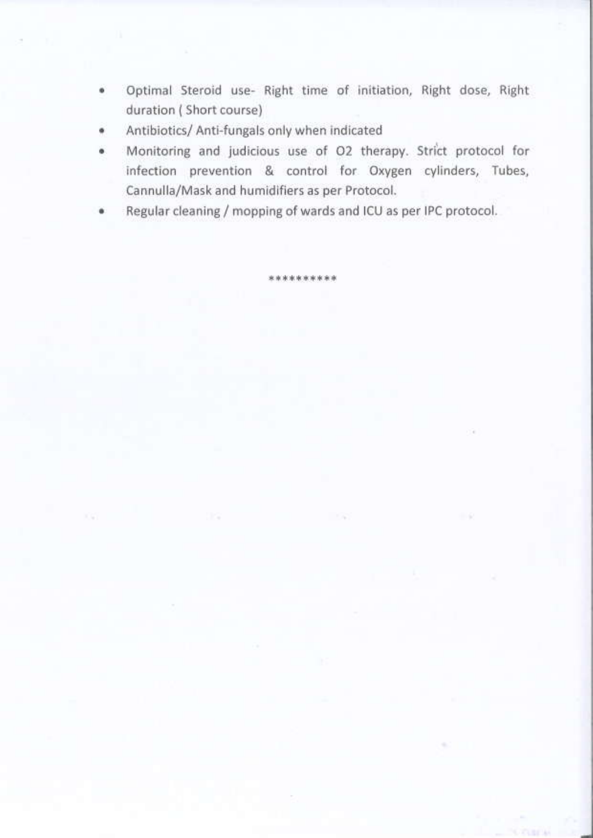- Optimal Steroid use- Right time of initiation, Right dose, Right ۰ duration (Short course)
- Antibiotics/ Anti-fungals only when indicated
- Monitoring and judicious use of O2 therapy. Strict protocol for infection prevention & control for Oxygen cylinders, Tubes, Cannulla/Mask and humidifiers as per Protocol.
- Regular cleaning / mopping of wards and ICU as per IPC protocol.

\*\*\*\*\*\*\*\*\*\*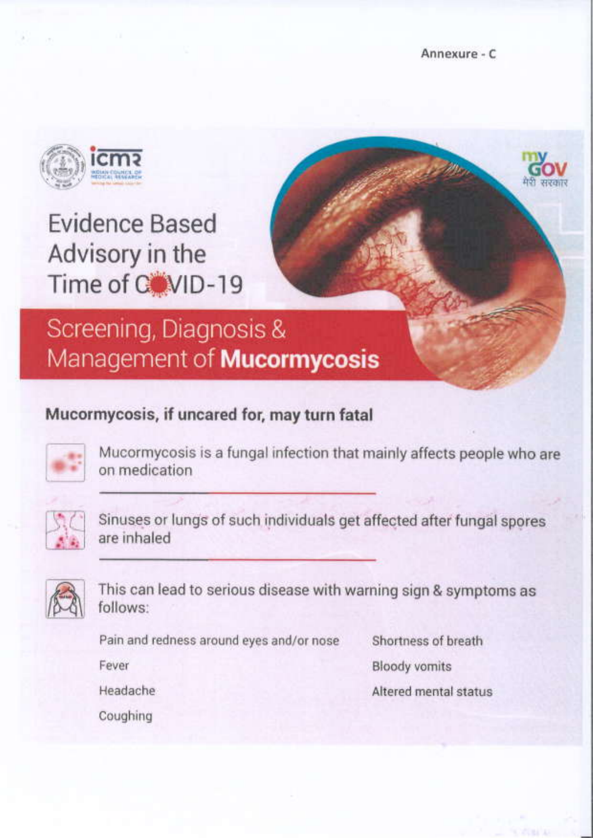Annexure - C



# **Evidence Based** Advisory in the Time of CoviD-19

## Screening, Diagnosis & Management of **Mucormycosis**

### Mucormycosis, if uncared for, may turn fatal



Mucormycosis is a fungal infection that mainly affects people who are on medication



Sinuses or lungs of such individuals get affected after fungal spores are inhaled



This can lead to serious disease with warning sign & symptoms as follows:

Pain and redness around eyes and/or nose

Fever

**Bloody vomits** Altered mental status

Shortness of breath

**Headache** 

Coughing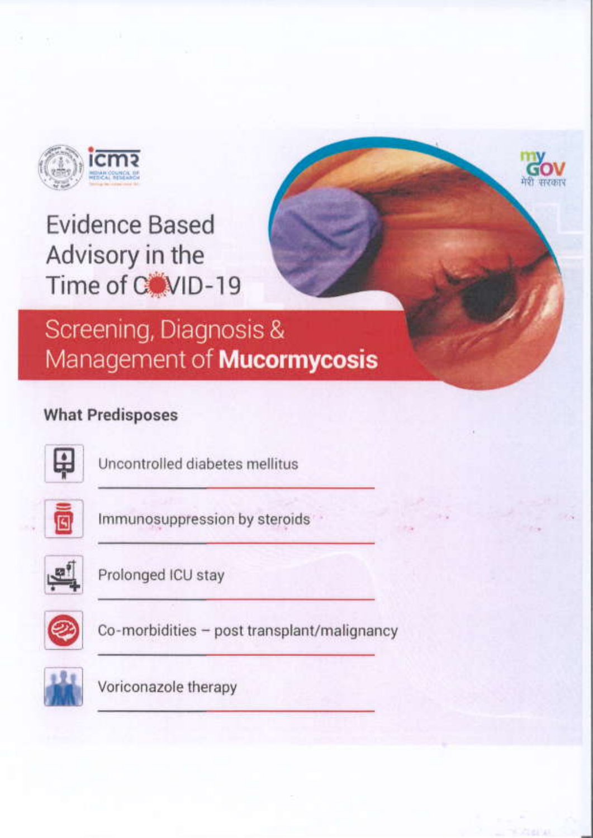

# Screening, Diagnosis & Management of **Mucormycosis**

### **What Predisposes**



Uncontrolled diabetes mellitus



Immunosuppression by steroids



Prolonged ICU stay



Co-morbidities - post transplant/malignancy



Voriconazole therapy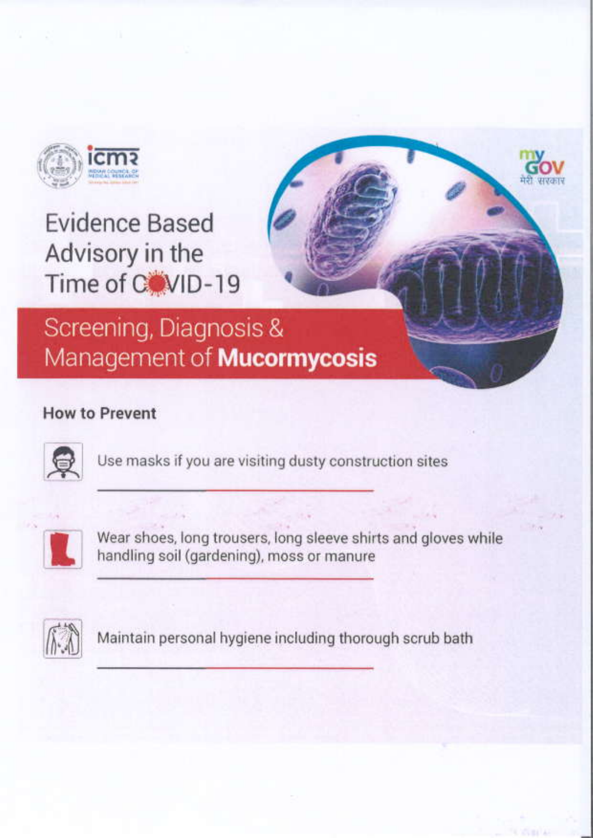

## Screening, Diagnosis & Management of **Mucormycosis**

### **How to Prevent**



Use masks if you are visiting dusty construction sites



Wear shoes, long trousers, long sleeve shirts and gloves while handling soil (gardening), moss or manure



Maintain personal hygiene including thorough scrub bath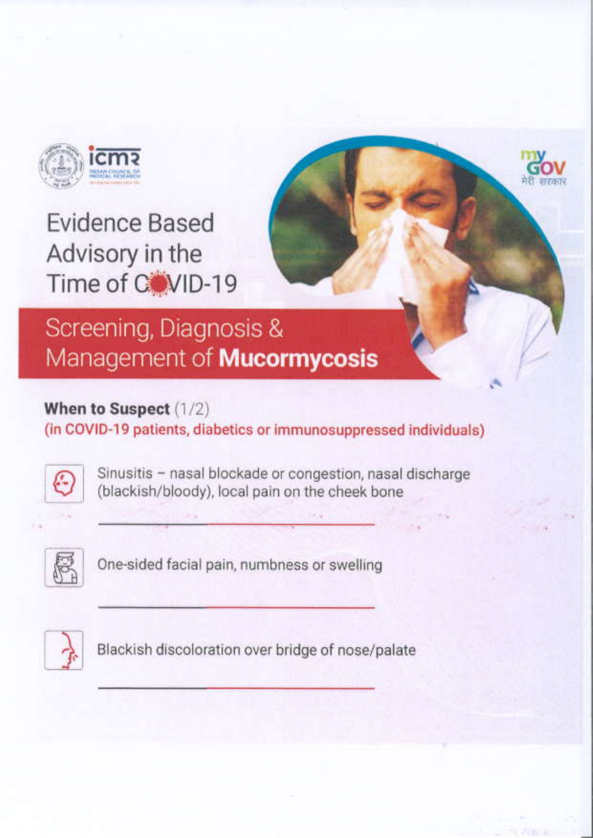

# Screening, Diagnosis & Management of **Mucormycosis**

### When to Suspect (1/2)

(in COVID-19 patients, diabetics or immunosuppressed individuals)



Sinusitis - nasal blockade or congestion, nasal discharge (blackish/bloody), local pain on the cheek bone



One-sided facial pain, numbness or swelling



Blackish discoloration over bridge of nose/palate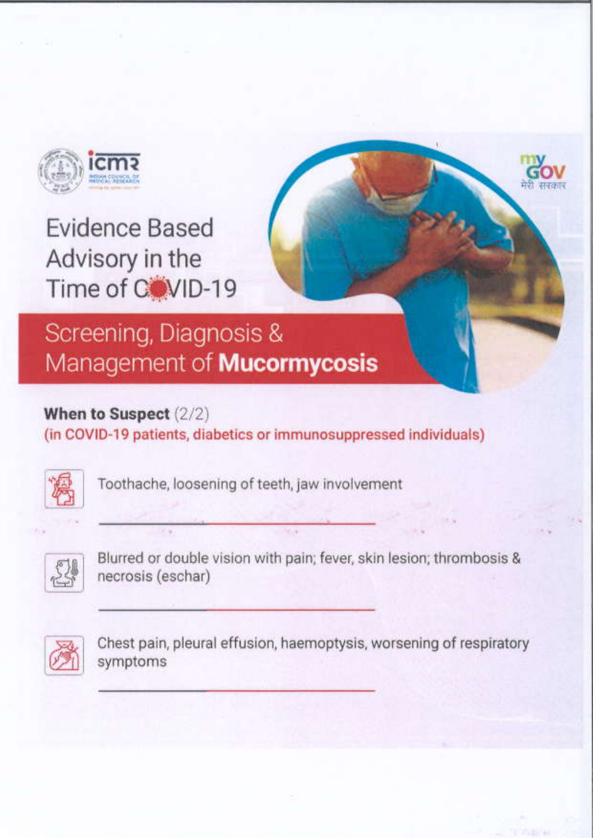

# Screening, Diagnosis & Management of **Mucormycosis**

### When to Suspect (2/2)

(in COVID-19 patients, diabetics or immunosuppressed individuals)



Toothache, loosening of teeth, jaw involvement



Blurred or double vision with pain; fever, skin lesion; thrombosis & necrosis (eschar)



Chest pain, pleural effusion, haemoptysis, worsening of respiratory symptoms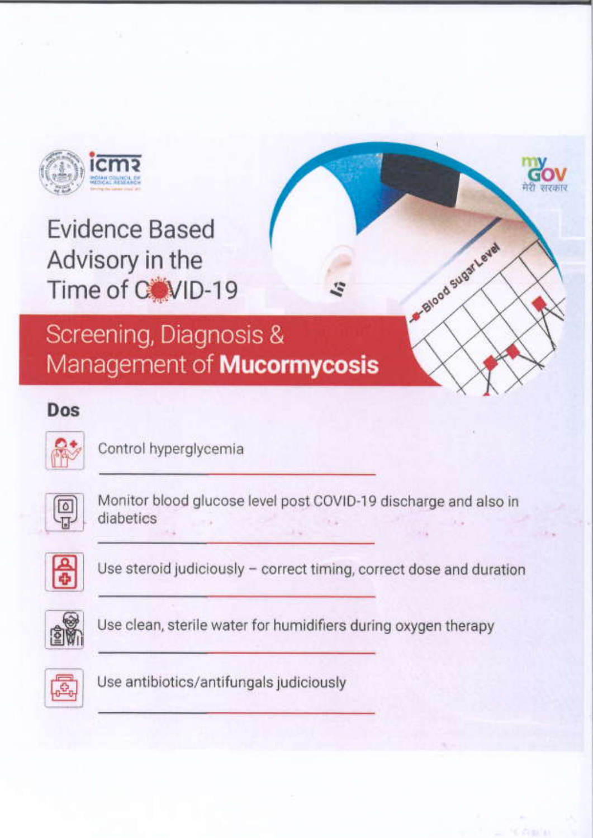

Screening, Diagnosis & Management of **Mucormycosis** 

### Dos



Control hyperglycemia



Monitor blood glucose level post COVID-19 discharge and also in diabetics

-Blood sugar Level



Use steroid judiciously - correct timing, correct dose and duration



Use clean, sterile water for humidifiers during oxygen therapy



Use antibiotics/antifungals judiciously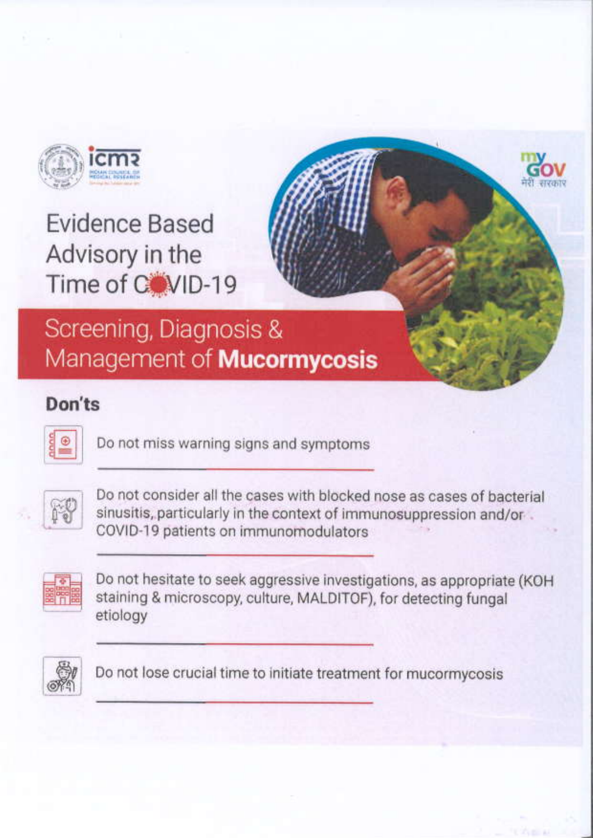

## Screening, Diagnosis & Management of **Mucormycosis**

### Don'ts



Do not miss warning signs and symptoms



Do not consider all the cases with blocked nose as cases of bacterial sinusitis, particularly in the context of immunosuppression and/or. COVID-19 patients on immunomodulators



Do not hesitate to seek aggressive investigations, as appropriate (KOH staining & microscopy, culture, MALDITOF), for detecting fungal etiology



Do not lose crucial time to initiate treatment for mucormycosis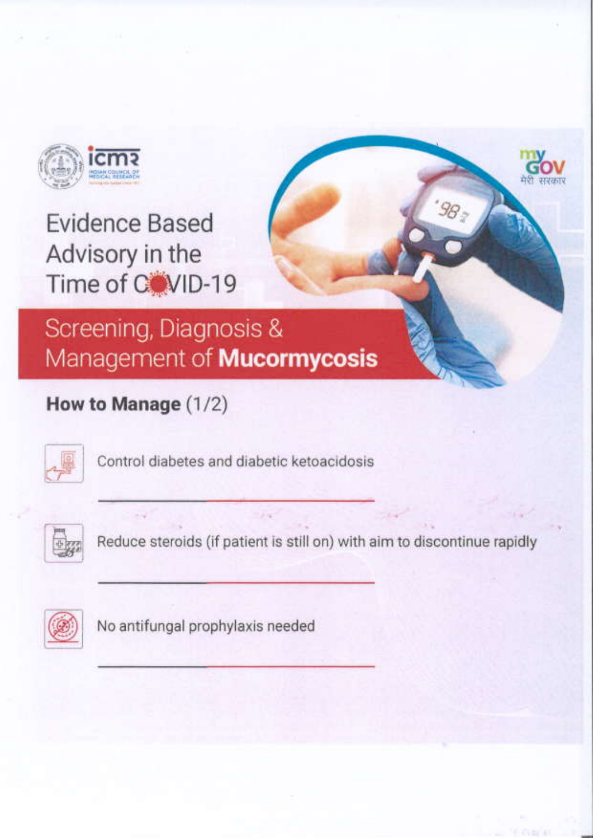

## Screening, Diagnosis & Management of **Mucormycosis**

### How to Manage (1/2)



Control diabetes and diabetic ketoacidosis



Reduce steroids (if patient is still on) with aim to discontinue rapidly

98,



No antifungal prophylaxis needed